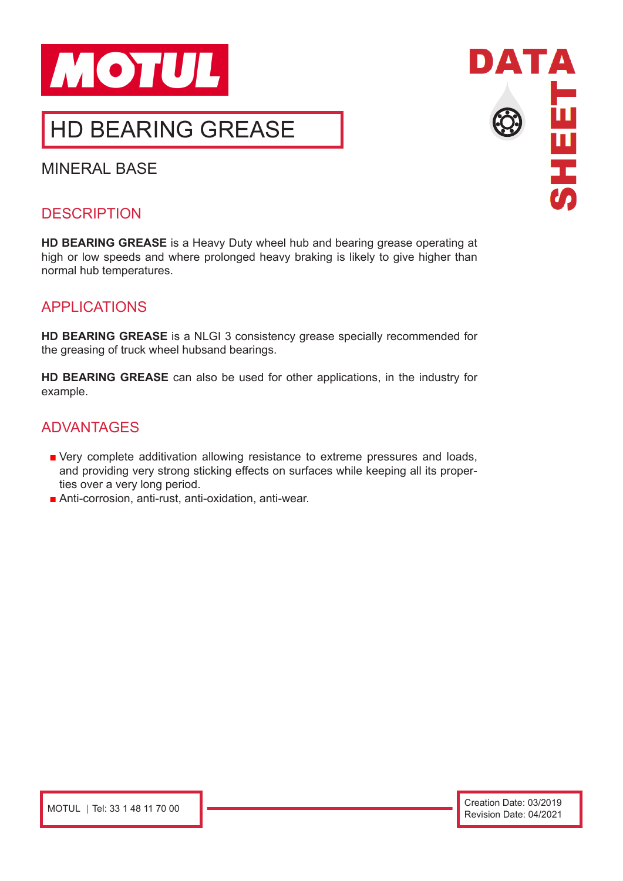

MINERAL BASE

## **DESCRIPTION**

**HD BEARING GREASE** is a Heavy Duty wheel hub and bearing grease operating at high or low speeds and where prolonged heavy braking is likely to give higher than normal hub temperatures.

## APPLICATIONS

**HD BEARING GREASE** is a NLGI 3 consistency grease specially recommended for the greasing of truck wheel hubsand bearings.

**HD BEARING GREASE** can also be used for other applications, in the industry for example.

#### ADVANTAGES

- Very complete additivation allowing resistance to extreme pressures and loads, and providing very strong sticking effects on surfaces while keeping all its properties over a very long period.
- Anti-corrosion, anti-rust, anti-oxidation, anti-wear.

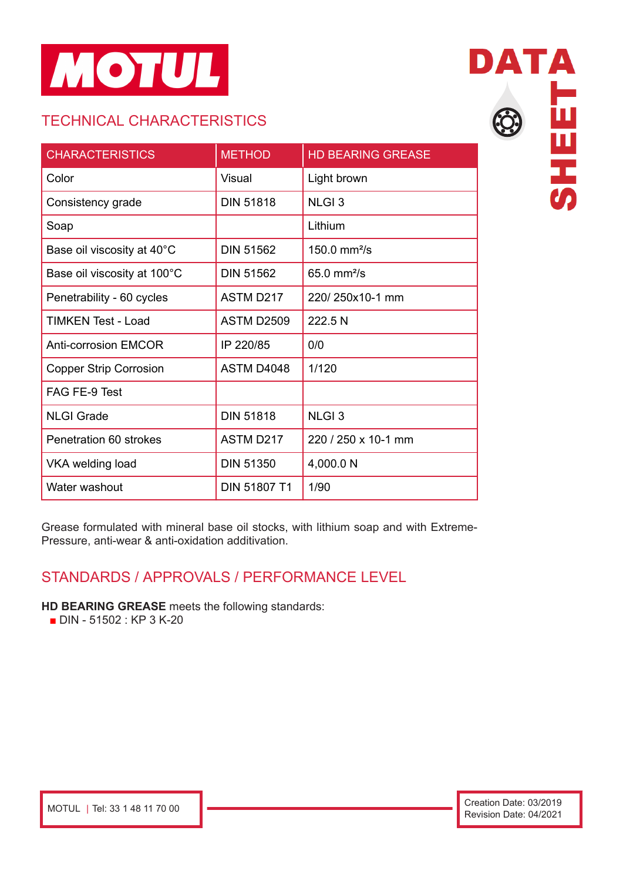

# TECHNICAL CHARACTERISTICS

| <b>CHARACTERISTICS</b>        | <b>METHOD</b>     | <b>HD BEARING GREASE</b> |
|-------------------------------|-------------------|--------------------------|
| Color                         | Visual            | Light brown              |
| Consistency grade             | <b>DIN 51818</b>  | <b>NLGI3</b>             |
| Soap                          |                   | Lithium                  |
| Base oil viscosity at 40°C    | <b>DIN 51562</b>  | 150.0 mm $^{2}/s$        |
| Base oil viscosity at 100°C   | <b>DIN 51562</b>  | $65.0$ mm $2/s$          |
| Penetrability - 60 cycles     | ASTM D217         | 220/250x10-1 mm          |
| TIMKEN Test - Load            | <b>ASTM D2509</b> | 222.5 N                  |
| <b>Anti-corrosion EMCOR</b>   | IP 220/85         | 0/0                      |
| <b>Copper Strip Corrosion</b> | ASTM D4048        | 1/120                    |
| FAG FE-9 Test                 |                   |                          |
| <b>NLGI Grade</b>             | <b>DIN 51818</b>  | <b>NLGI3</b>             |
| Penetration 60 strokes        | ASTM D217         | 220 / 250 x 10-1 mm      |
| VKA welding load              | <b>DIN 51350</b>  | 4,000.0 N                |
| Water washout                 | DIN 51807 T1      | 1/90                     |

DATA **SHEET** 

Grease formulated with mineral base oil stocks, with lithium soap and with Extreme-Pressure, anti-wear & anti-oxidation additivation.

#### STANDARDS / APPROVALS / PERFORMANCE LEVEL

#### **HD BEARING GREASE** meets the following standards:

■ DIN - 51502 : KP 3 K-20